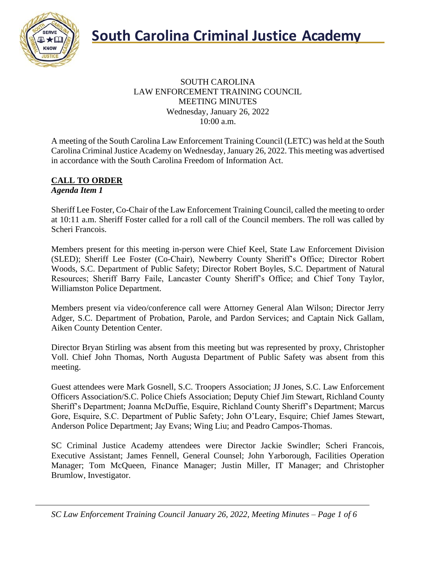

#### SOUTH CAROLINA LAW ENFORCEMENT TRAINING COUNCIL MEETING MINUTES Wednesday, January 26, 2022 10:00 a.m.

A meeting of the South Carolina Law Enforcement Training Council (LETC) was held at the South Carolina Criminal Justice Academy on Wednesday, January 26, 2022. This meeting was advertised in accordance with the South Carolina Freedom of Information Act.

#### **CALL TO ORDER** *Agenda Item 1*

Sheriff Lee Foster, Co-Chair of the Law Enforcement Training Council, called the meeting to order at 10:11 a.m. Sheriff Foster called for a roll call of the Council members. The roll was called by Scheri Francois.

Members present for this meeting in-person were Chief Keel, State Law Enforcement Division (SLED); Sheriff Lee Foster (Co-Chair), Newberry County Sheriff's Office; Director Robert Woods, S.C. Department of Public Safety; Director Robert Boyles, S.C. Department of Natural Resources; Sheriff Barry Faile, Lancaster County Sheriff's Office; and Chief Tony Taylor, Williamston Police Department.

Members present via video/conference call were Attorney General Alan Wilson; Director Jerry Adger, S.C. Department of Probation, Parole, and Pardon Services; and Captain Nick Gallam, Aiken County Detention Center.

Director Bryan Stirling was absent from this meeting but was represented by proxy, Christopher Voll. Chief John Thomas, North Augusta Department of Public Safety was absent from this meeting.

Guest attendees were Mark Gosnell, S.C. Troopers Association; JJ Jones, S.C. Law Enforcement Officers Association/S.C. Police Chiefs Association; Deputy Chief Jim Stewart, Richland County Sheriff's Department; Joanna McDuffie, Esquire, Richland County Sheriff's Department; Marcus Gore, Esquire, S.C. Department of Public Safety; John O'Leary, Esquire; Chief James Stewart, Anderson Police Department; Jay Evans; Wing Liu; and Peadro Campos-Thomas.

SC Criminal Justice Academy attendees were Director Jackie Swindler; Scheri Francois, Executive Assistant; James Fennell, General Counsel; John Yarborough, Facilities Operation Manager; Tom McQueen, Finance Manager; Justin Miller, IT Manager; and Christopher Brumlow, Investigator.

*SC Law Enforcement Training Council January 26, 2022, Meeting Minutes – Page 1 of 6*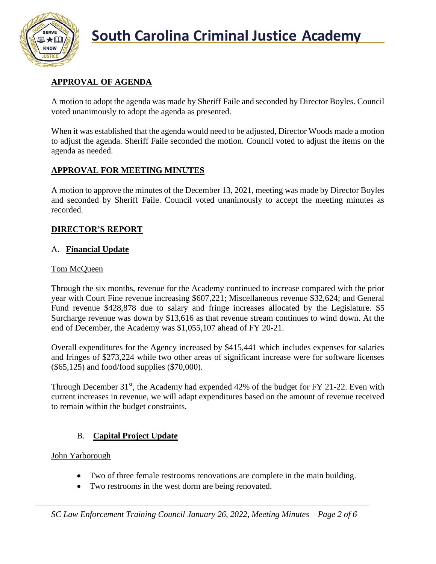

## **APPROVAL OF AGENDA**

A motion to adopt the agenda was made by Sheriff Faile and seconded by Director Boyles. Council voted unanimously to adopt the agenda as presented.

When it was established that the agenda would need to be adjusted, Director Woods made a motion to adjust the agenda. Sheriff Faile seconded the motion. Council voted to adjust the items on the agenda as needed.

## **APPROVAL FOR MEETING MINUTES**

A motion to approve the minutes of the December 13, 2021, meeting was made by Director Boyles and seconded by Sheriff Faile. Council voted unanimously to accept the meeting minutes as recorded.

## **DIRECTOR'S REPORT**

## A. **Financial Update**

#### Tom McQueen

Through the six months, revenue for the Academy continued to increase compared with the prior year with Court Fine revenue increasing \$607,221; Miscellaneous revenue \$32,624; and General Fund revenue \$428,878 due to salary and fringe increases allocated by the Legislature. \$5 Surcharge revenue was down by \$13,616 as that revenue stream continues to wind down. At the end of December, the Academy was \$1,055,107 ahead of FY 20-21.

Overall expenditures for the Agency increased by \$415,441 which includes expenses for salaries and fringes of \$273,224 while two other areas of significant increase were for software licenses (\$65,125) and food/food supplies (\$70,000).

Through December  $31<sup>st</sup>$ , the Academy had expended 42% of the budget for FY 21-22. Even with current increases in revenue, we will adapt expenditures based on the amount of revenue received to remain within the budget constraints.

## B. **Capital Project Update**

## John Yarborough

- Two of three female restrooms renovations are complete in the main building.
- Two restrooms in the west dorm are being renovated.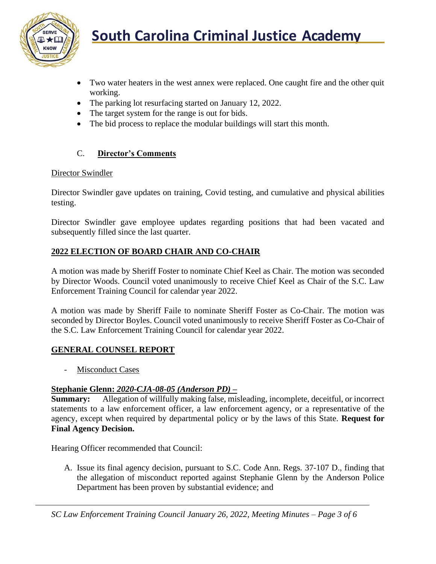

- Two water heaters in the west annex were replaced. One caught fire and the other quit working.
- The parking lot resurfacing started on January 12, 2022.
- The target system for the range is out for bids.
- The bid process to replace the modular buildings will start this month.

## C. **Director's Comments**

#### Director Swindler

Director Swindler gave updates on training, Covid testing, and cumulative and physical abilities testing.

Director Swindler gave employee updates regarding positions that had been vacated and subsequently filled since the last quarter.

## **2022 ELECTION OF BOARD CHAIR AND CO-CHAIR**

A motion was made by Sheriff Foster to nominate Chief Keel as Chair. The motion was seconded by Director Woods. Council voted unanimously to receive Chief Keel as Chair of the S.C. Law Enforcement Training Council for calendar year 2022.

A motion was made by Sheriff Faile to nominate Sheriff Foster as Co-Chair. The motion was seconded by Director Boyles. Council voted unanimously to receive Sheriff Foster as Co-Chair of the S.C. Law Enforcement Training Council for calendar year 2022.

## **GENERAL COUNSEL REPORT**

- Misconduct Cases

## **Stephanie Glenn:** *2020-CJA-08-05 (Anderson PD)* **–**

**Summary:** Allegation of willfully making false, misleading, incomplete, deceitful, or incorrect statements to a law enforcement officer, a law enforcement agency, or a representative of the agency, except when required by departmental policy or by the laws of this State. **Request for Final Agency Decision.**

Hearing Officer recommended that Council:

A. Issue its final agency decision, pursuant to S.C. Code Ann. Regs. 37-107 D., finding that the allegation of misconduct reported against Stephanie Glenn by the Anderson Police Department has been proven by substantial evidence; and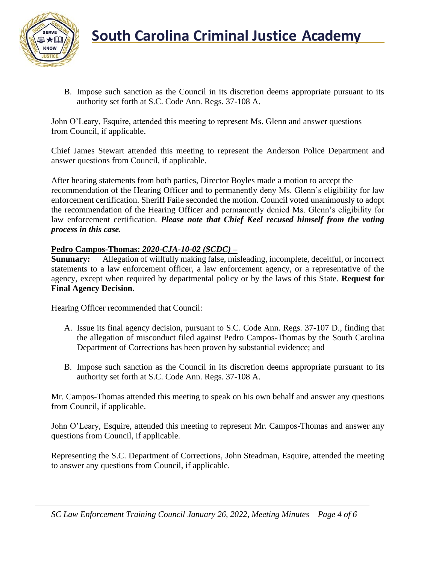

B. Impose such sanction as the Council in its discretion deems appropriate pursuant to its authority set forth at S.C. Code Ann. Regs. 37-108 A.

John O'Leary, Esquire, attended this meeting to represent Ms. Glenn and answer questions from Council, if applicable.

Chief James Stewart attended this meeting to represent the Anderson Police Department and answer questions from Council, if applicable.

After hearing statements from both parties, Director Boyles made a motion to accept the recommendation of the Hearing Officer and to permanently deny Ms. Glenn's eligibility for law enforcement certification. Sheriff Faile seconded the motion. Council voted unanimously to adopt the recommendation of the Hearing Officer and permanently denied Ms. Glenn's eligibility for law enforcement certification. *Please note that Chief Keel recused himself from the voting process in this case.*

## **Pedro Campos-Thomas:** *2020-CJA-10-02 (SCDC)* **–**

**Summary:** Allegation of willfully making false, misleading, incomplete, deceitful, or incorrect statements to a law enforcement officer, a law enforcement agency, or a representative of the agency, except when required by departmental policy or by the laws of this State. **Request for Final Agency Decision.**

Hearing Officer recommended that Council:

- A. Issue its final agency decision, pursuant to S.C. Code Ann. Regs. 37-107 D., finding that the allegation of misconduct filed against Pedro Campos-Thomas by the South Carolina Department of Corrections has been proven by substantial evidence; and
- B. Impose such sanction as the Council in its discretion deems appropriate pursuant to its authority set forth at S.C. Code Ann. Regs. 37-108 A.

Mr. Campos-Thomas attended this meeting to speak on his own behalf and answer any questions from Council, if applicable.

John O'Leary, Esquire, attended this meeting to represent Mr. Campos-Thomas and answer any questions from Council, if applicable.

Representing the S.C. Department of Corrections, John Steadman, Esquire, attended the meeting to answer any questions from Council, if applicable.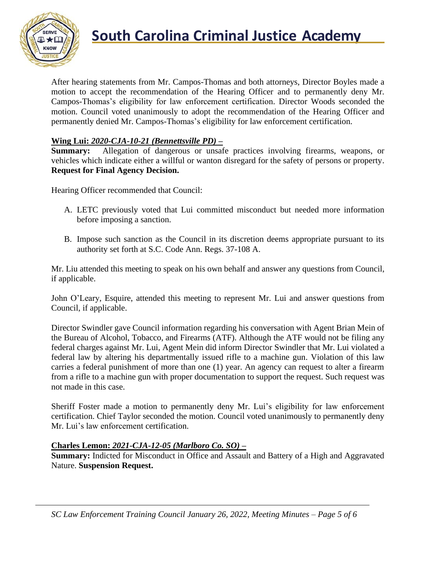

## **South Carolina Criminal Justice Academy**

After hearing statements from Mr. Campos-Thomas and both attorneys, Director Boyles made a motion to accept the recommendation of the Hearing Officer and to permanently deny Mr. Campos-Thomas's eligibility for law enforcement certification. Director Woods seconded the motion. Council voted unanimously to adopt the recommendation of the Hearing Officer and permanently denied Mr. Campos-Thomas's eligibility for law enforcement certification.

## **Wing Lui:** *2020-CJA-10-21 (Bennettsville PD) –*

**Summary:** Allegation of dangerous or unsafe practices involving firearms, weapons, or vehicles which indicate either a willful or wanton disregard for the safety of persons or property. **Request for Final Agency Decision.**

Hearing Officer recommended that Council:

- A. LETC previously voted that Lui committed misconduct but needed more information before imposing a sanction.
- B. Impose such sanction as the Council in its discretion deems appropriate pursuant to its authority set forth at S.C. Code Ann. Regs. 37-108 A.

Mr. Liu attended this meeting to speak on his own behalf and answer any questions from Council, if applicable.

John O'Leary, Esquire, attended this meeting to represent Mr. Lui and answer questions from Council, if applicable.

Director Swindler gave Council information regarding his conversation with Agent Brian Mein of the Bureau of Alcohol, Tobacco, and Firearms (ATF). Although the ATF would not be filing any federal charges against Mr. Lui, Agent Mein did inform Director Swindler that Mr. Lui violated a federal law by altering his departmentally issued rifle to a machine gun. Violation of this law carries a federal punishment of more than one (1) year. An agency can request to alter a firearm from a rifle to a machine gun with proper documentation to support the request. Such request was not made in this case.

Sheriff Foster made a motion to permanently deny Mr. Lui's eligibility for law enforcement certification. Chief Taylor seconded the motion. Council voted unanimously to permanently deny Mr. Lui's law enforcement certification.

#### **Charles Lemon:** *2021-CJA-12-05 (Marlboro Co. SO) –*

**Summary:** Indicted for Misconduct in Office and Assault and Battery of a High and Aggravated Nature. **Suspension Request.**